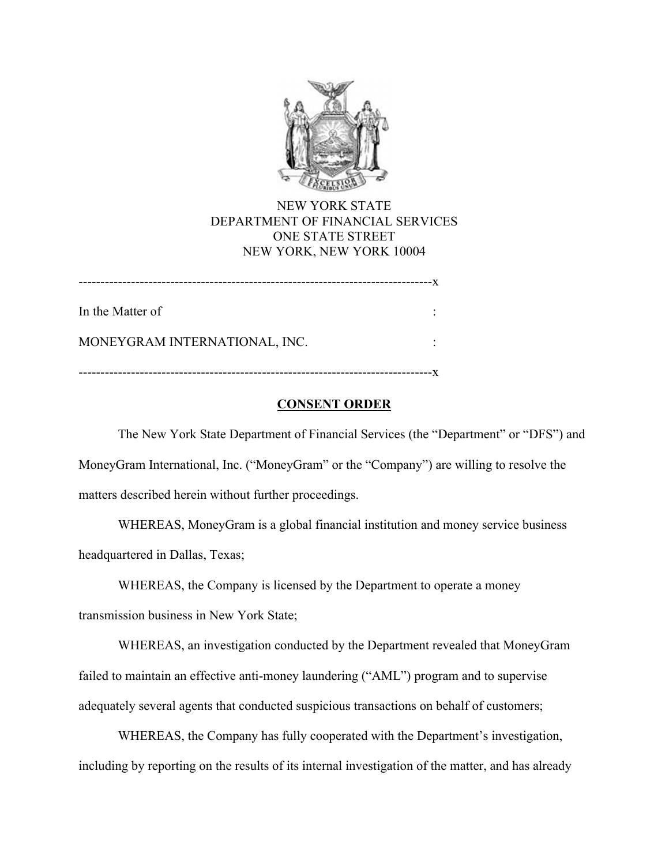

NEW YORK STATE DEPARTMENT OF FINANCIAL SERVICES ONE STATE STREET NEW YORK, NEW YORK 10004

---------------------------------------------------------------------------------x

In the Matter of :

MONEYGRAM INTERNATIONAL, INC.

---------------------------------------------------------------------------------x

# **CONSENT ORDER**

The New York State Department of Financial Services (the "Department" or "DFS") and MoneyGram International, Inc. ("MoneyGram" or the "Company") are willing to resolve the matters described herein without further proceedings.

WHEREAS, MoneyGram is a global financial institution and money service business headquartered in Dallas, Texas;

transmission business in New York State; WHEREAS, the Company is licensed by the Department to operate a money

WHEREAS, an investigation conducted by the Department revealed that MoneyGram failed to maintain an effective anti-money laundering ("AML") program and to supervise adequately several agents that conducted suspicious transactions on behalf of customers;

WHEREAS, the Company has fully cooperated with the Department's investigation, including by reporting on the results of its internal investigation of the matter, and has already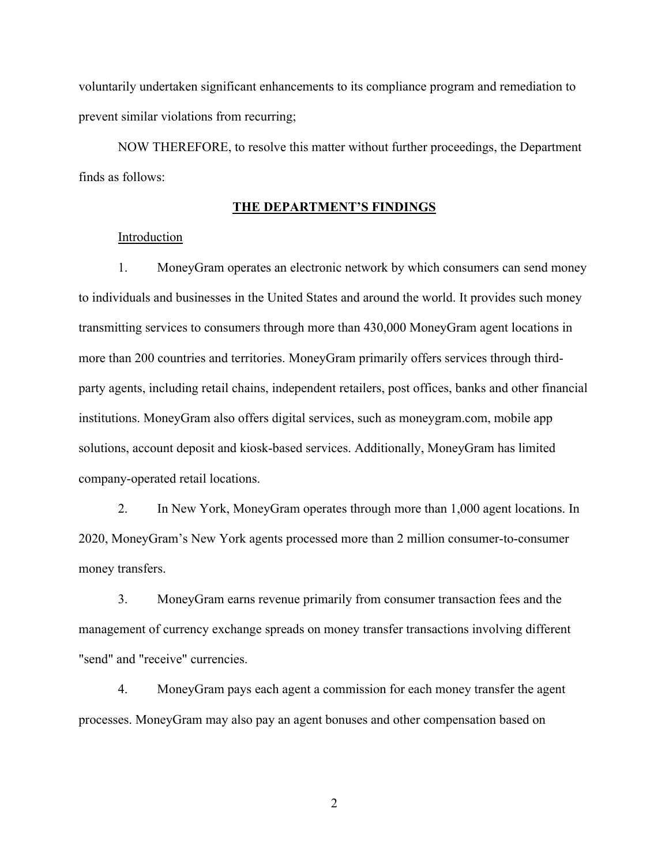voluntarily undertaken significant enhancements to its compliance program and remediation to prevent similar violations from recurring;

NOW THEREFORE, to resolve this matter without further proceedings, the Department finds as follows:

#### **THE DEPARTMENT'S FINDINGS**

### **Introduction**

1. MoneyGram operates an electronic network by which consumers can send money to individuals and businesses in the United States and around the world. It provides such money transmitting services to consumers through more than 430,000 MoneyGram agent locations in more than 200 countries and territories. MoneyGram primarily offers services through thirdparty agents, including retail chains, independent retailers, post offices, banks and other financial institutions. MoneyGram also offers digital services, such as [moneygram.com](https://moneygram.com), mobile app solutions, account deposit and kiosk-based services. Additionally, MoneyGram has limited company-operated retail locations.

2. In New York, MoneyGram operates through more than 1,000 agent locations. In 2020, MoneyGram's New York agents processed more than 2 million consumer-to-consumer money transfers.

3. MoneyGram earns revenue primarily from consumer transaction fees and the management of currency exchange spreads on money transfer transactions involving different "send" and "receive" currencies.

4. MoneyGram pays each agent a commission for each money transfer the agent processes. MoneyGram may also pay an agent bonuses and other compensation based on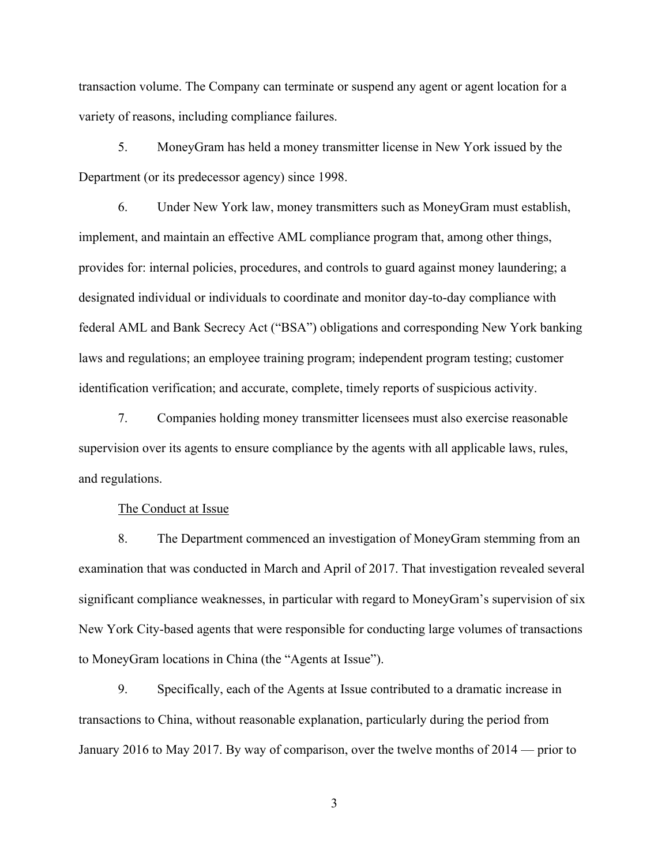variety of reasons, including compliance failures. transaction volume. The Company can terminate or suspend any agent or agent location for a

5. MoneyGram has held a money transmitter license in New York issued by the Department (or its predecessor agency) since 1998.

6. Under New York law, money transmitters such as MoneyGram must establish, implement, and maintain an effective AML compliance program that, among other things, provides for: internal policies, procedures, and controls to guard against money laundering; a designated individual or individuals to coordinate and monitor day-to-day compliance with federal AML and Bank Secrecy Act ("BSA") obligations and corresponding New York banking laws and regulations; an employee training program; independent program testing; customer identification verification; and accurate, complete, timely reports of suspicious activity.

7. Companies holding money transmitter licensees must also exercise reasonable supervision over its agents to ensure compliance by the agents with all applicable laws, rules, and regulations.

The Conduct at Issue

8. The Department commenced an investigation of MoneyGram stemming from an examination that was conducted in March and April of 2017. That investigation revealed several significant compliance weaknesses, in particular with regard to MoneyGram's supervision of six New York City-based agents that were responsible for conducting large volumes of transactions to MoneyGram locations in China (the "Agents at Issue").

9. Specifically, each of the Agents at Issue contributed to a dramatic increase in transactions to China, without reasonable explanation, particularly during the period from January 2016 to May 2017. By way of comparison, over the twelve months of 2014 — prior to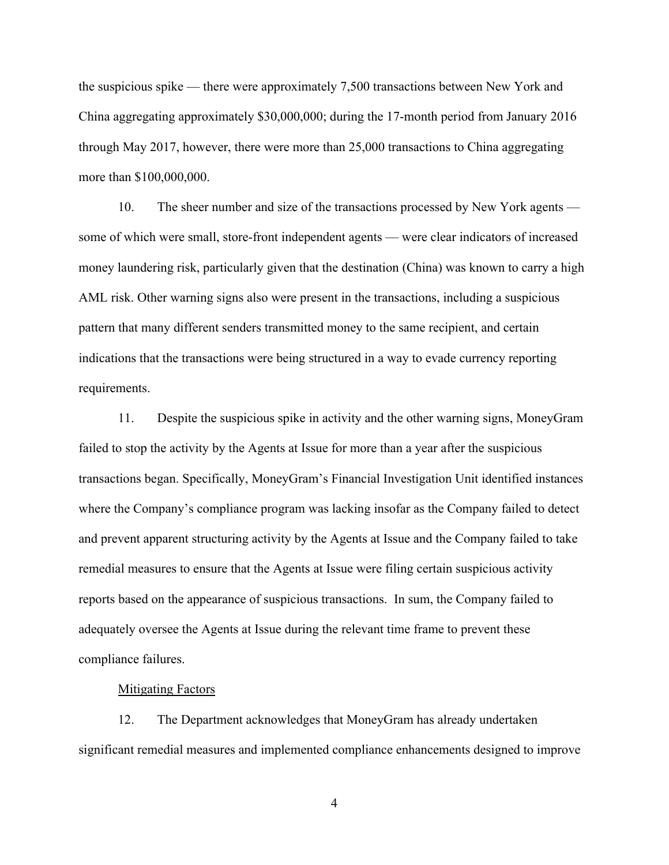the suspicious spike — there were approximately 7,500 transactions between New York and China aggregating approximately \$30,000,000; during the 17-month period from January 2016 through May 2017, however, there were more than 25,000 transactions to China aggregating more than \$100,000,000.

10. The sheer number and size of the transactions processed by New York agents some of which were small, store-front independent agents — were clear indicators of increased money laundering risk, particularly given that the destination (China) was known to carry a high AML risk. Other warning signs also were present in the transactions, including a suspicious pattern that many different senders transmitted money to the same recipient, and certain indications that the transactions were being structured in a way to evade currency reporting requirements.

11. Despite the suspicious spike in activity and the other warning signs, MoneyGram failed to stop the activity by the Agents at Issue for more than a year after the suspicious transactions began. Specifically, MoneyGram's Financial Investigation Unit identified instances where the Company's compliance program was lacking insofar as the Company failed to detect and prevent apparent structuring activity by the Agents at Issue and the Company failed to take remedial measures to ensure that the Agents at Issue were filing certain suspicious activity reports based on the appearance of suspicious transactions. In sum, the Company failed to adequately oversee the Agents at Issue during the relevant time frame to prevent these compliance failures.

#### **Mitigating Factors**

12. The Department acknowledges that MoneyGram has already undertaken significant remedial measures and implemented compliance enhancements designed to improve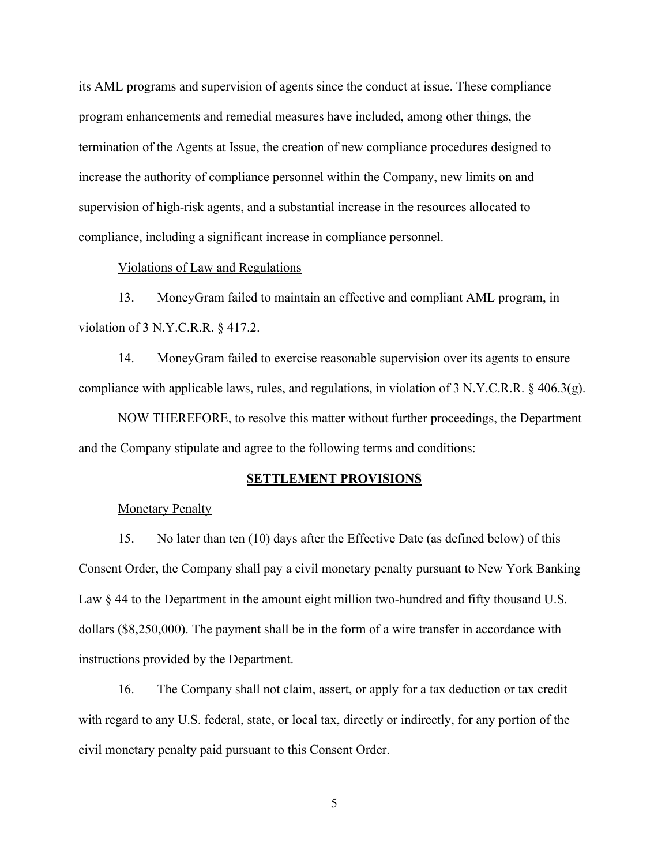its AML programs and supervision of agents since the conduct at issue. These compliance program enhancements and remedial measures have included, among other things, the termination of the Agents at Issue, the creation of new compliance procedures designed to increase the authority of compliance personnel within the Company, new limits on and supervision of high-risk agents, and a substantial increase in the resources allocated to compliance, including a significant increase in compliance personnel.

### Violations of Law and Regulations

13. MoneyGram failed to maintain an effective and compliant AML program, in violation of 3 N.Y.C.R.R. § 417.2.

14. MoneyGram failed to exercise reasonable supervision over its agents to ensure compliance with applicable laws, rules, and regulations, in violation of 3 N.Y.C.R.R. § 406.3(g).

NOW THEREFORE, to resolve this matter without further proceedings, the Department and the Company stipulate and agree to the following terms and conditions:

#### **SETTLEMENT PROVISIONS**

### **Monetary Penalty**

15. No later than ten (10) days after the Effective Date (as defined below) of this Consent Order, the Company shall pay a civil monetary penalty pursuant to New York Banking Law  $\S 44$  to the Department in the amount eight million two-hundred and fifty thousand U.S. dollars (\$8,250,000). The payment shall be in the form of a wire transfer in accordance with instructions provided by the Department.

16. The Company shall not claim, assert, or apply for a tax deduction or tax credit with regard to any U.S. federal, state, or local tax, directly or indirectly, for any portion of the civil monetary penalty paid pursuant to this Consent Order.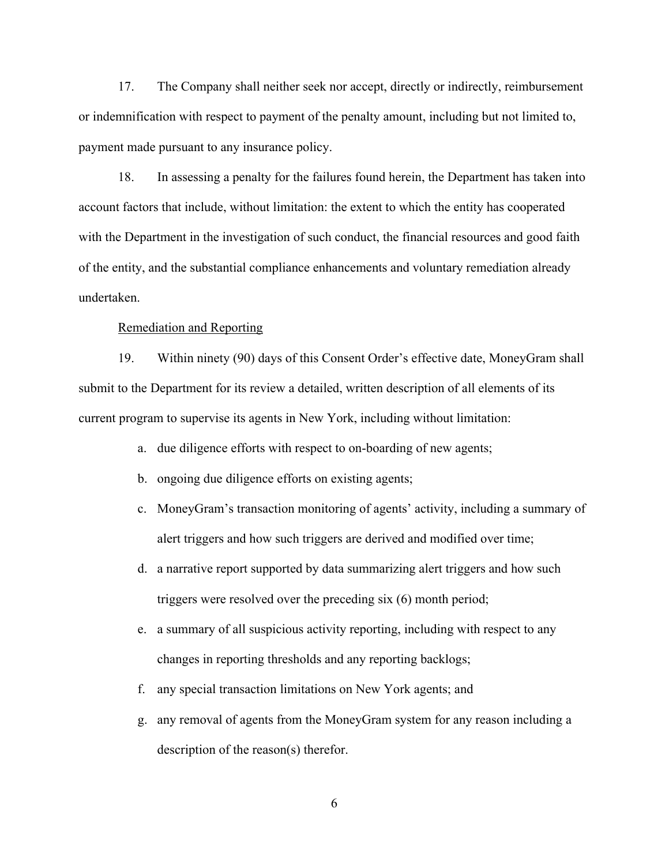17. The Company shall neither seek nor accept, directly or indirectly, reimbursement or indemnification with respect to payment of the penalty amount, including but not limited to, payment made pursuant to any insurance policy.

18. In assessing a penalty for the failures found herein, the Department has taken into account factors that include, without limitation: the extent to which the entity has cooperated with the Department in the investigation of such conduct, the financial resources and good faith of the entity, and the substantial compliance enhancements and voluntary remediation already undertaken.

## Remediation and Reporting

19. Within ninety (90) days of this Consent Order's effective date, MoneyGram shall submit to the Department for its review a detailed, written description of all elements of its current program to supervise its agents in New York, including without limitation:

- a. due diligence efforts with respect to on-boarding of new agents;
- b. ongoing due diligence efforts on existing agents;
- c. MoneyGram's transaction monitoring of agents' activity, including a summary of alert triggers and how such triggers are derived and modified over time;
- d. a narrative report supported by data summarizing alert triggers and how such triggers were resolved over the preceding six (6) month period;
- e. a summary of all suspicious activity reporting, including with respect to any changes in reporting thresholds and any reporting backlogs;
- f. any special transaction limitations on New York agents; and
- g. any removal of agents from the MoneyGram system for any reason including a description of the reason(s) therefor.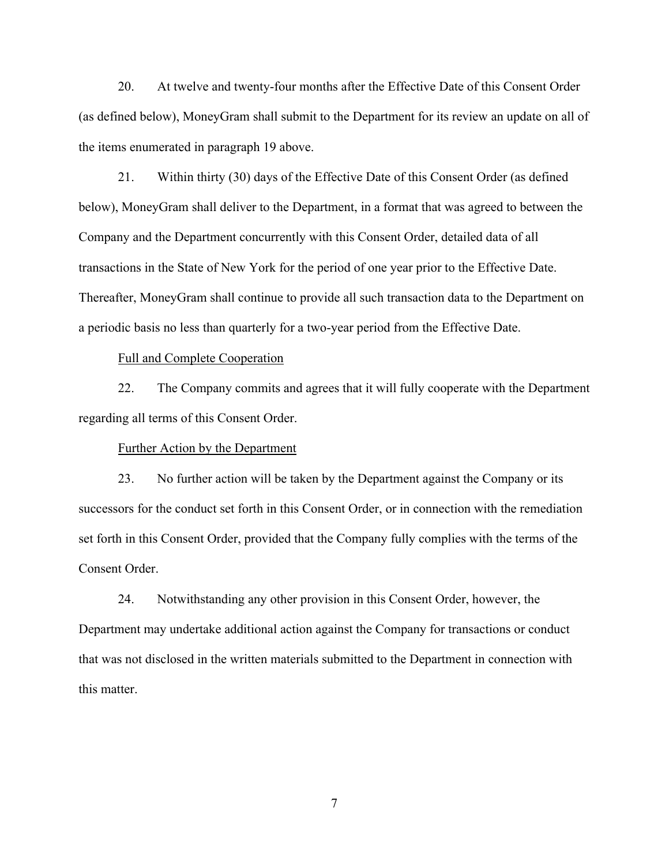20. At twelve and twenty-four months after the Effective Date of this Consent Order (as defined below), MoneyGram shall submit to the Department for its review an update on all of the items enumerated in paragraph 19 above.

21. Within thirty (30) days of the Effective Date of this Consent Order (as defined below), MoneyGram shall deliver to the Department, in a format that was agreed to between the Company and the Department concurrently with this Consent Order, detailed data of all transactions in the State of New York for the period of one year prior to the Effective Date. Thereafter, MoneyGram shall continue to provide all such transaction data to the Department on a periodic basis no less than quarterly for a two-year period from the Effective Date.

#### Full and Complete Cooperation

22. The Company commits and agrees that it will fully cooperate with the Department regarding all terms of this Consent Order.

#### Further Action by the Department

23. No further action will be taken by the Department against the Company or its successors for the conduct set forth in this Consent Order, or in connection with the remediation set forth in this Consent Order, provided that the Company fully complies with the terms of the Consent Order.

24. Notwithstanding any other provision in this Consent Order, however, the Department may undertake additional action against the Company for transactions or conduct that was not disclosed in the written materials submitted to the Department in connection with this matter.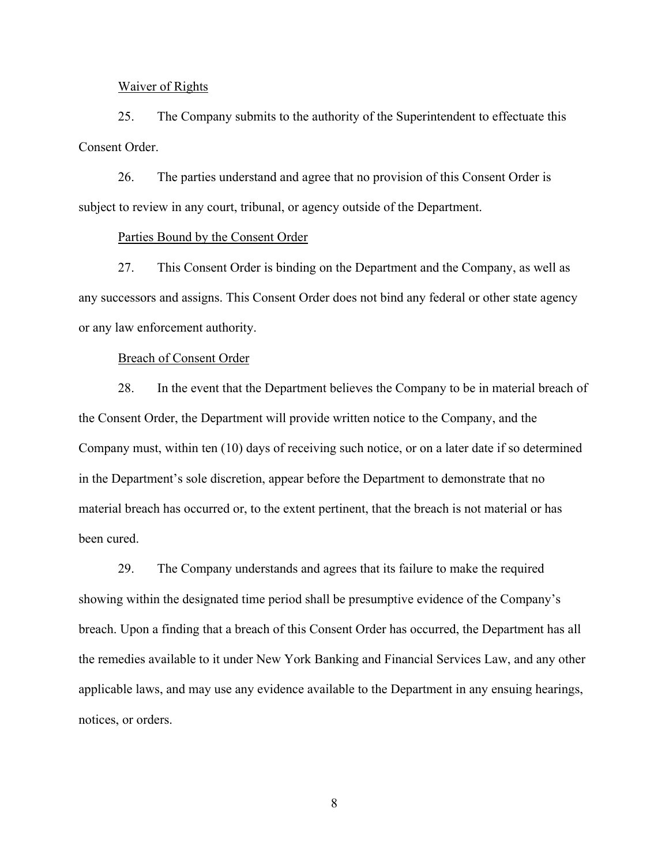#### Waiver of Rights

25. The Company submits to the authority of the Superintendent to effectuate this Consent Order.

26. The parties understand and agree that no provision of this Consent Order is subject to review in any court, tribunal, or agency outside of the Department.

## Parties Bound by the Consent Order

27. This Consent Order is binding on the Department and the Company, as well as any successors and assigns. This Consent Order does not bind any federal or other state agency or any law enforcement authority.

#### Breach of Consent Order

28. In the event that the Department believes the Company to be in material breach of the Consent Order, the Department will provide written notice to the Company, and the Company must, within ten (10) days of receiving such notice, or on a later date if so determined in the Department's sole discretion, appear before the Department to demonstrate that no material breach has occurred or, to the extent pertinent, that the breach is not material or has been cured.

29. The Company understands and agrees that its failure to make the required showing within the designated time period shall be presumptive evidence of the Company's breach. Upon a finding that a breach of this Consent Order has occurred, the Department has all the remedies available to it under New York Banking and Financial Services Law, and any other applicable laws, and may use any evidence available to the Department in any ensuing hearings, notices, or orders.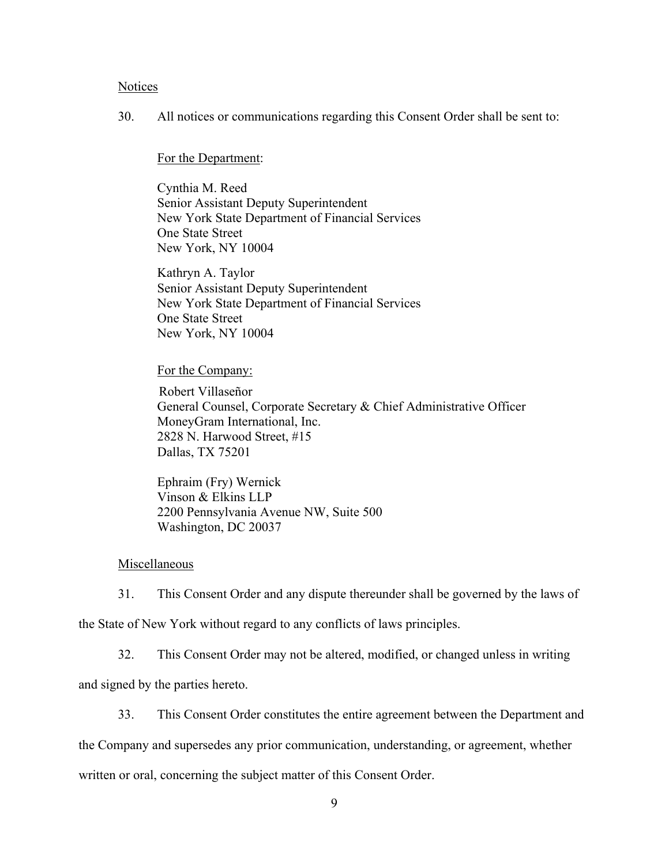### **Notices**

30. All notices or communications regarding this Consent Order shall be sent to:

# For the Department:

Cynthia M. Reed Senior Assistant Deputy Superintendent New York State Department of Financial Services One State Street New York, NY 10004

Kathryn A. Taylor Senior Assistant Deputy Superintendent New York State Department of Financial Services One State Street New York, NY 10004

# For the Company:

Robert Villaseñor General Counsel, Corporate Secretary & Chief Administrative Officer MoneyGram International, Inc. 2828 N. Harwood Street, #15 Dallas, TX 75201

Ephraim (Fry) Wernick Vinson & Elkins LLP 2200 Pennsylvania Avenue NW, Suite 500 Washington, DC 20037

# Miscellaneous

31. This Consent Order and any dispute thereunder shall be governed by the laws of the State of New York without regard to any conflicts of laws principles.

32. This Consent Order may not be altered, modified, or changed unless in writing

and signed by the parties hereto.

33. This Consent Order constitutes the entire agreement between the Department and

the Company and supersedes any prior communication, understanding, or agreement, whether

written or oral, concerning the subject matter of this Consent Order.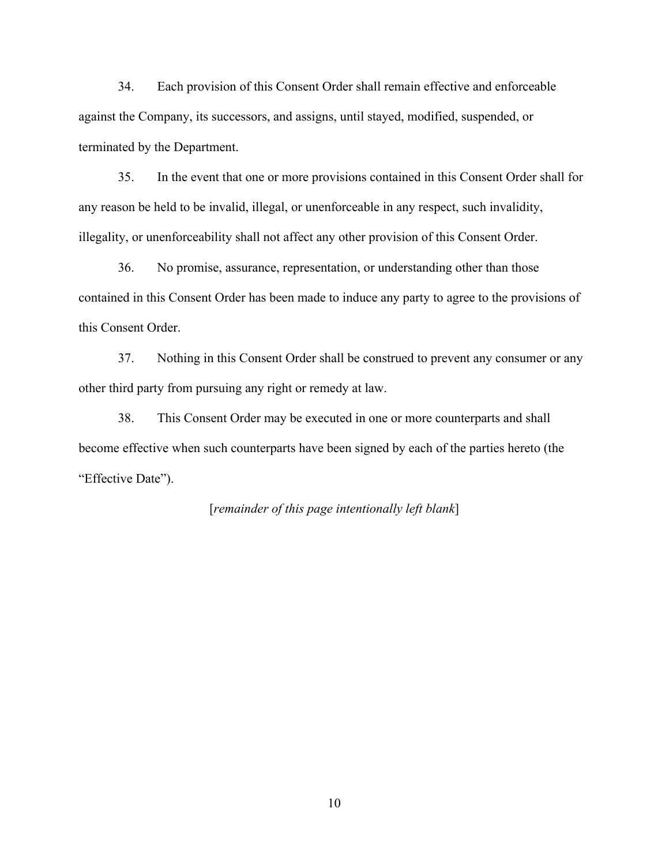34. Each provision of this Consent Order shall remain effective and enforceable against the Company, its successors, and assigns, until stayed, modified, suspended, or terminated by the Department.

35. In the event that one or more provisions contained in this Consent Order shall for any reason be held to be invalid, illegal, or unenforceable in any respect, such invalidity, illegality, or unenforceability shall not affect any other provision of this Consent Order.

36. No promise, assurance, representation, or understanding other than those contained in this Consent Order has been made to induce any party to agree to the provisions of this Consent Order.

37. Nothing in this Consent Order shall be construed to prevent any consumer or any other third party from pursuing any right or remedy at law.

38. This Consent Order may be executed in one or more counterparts and shall become effective when such counterparts have been signed by each of the parties hereto (the "Effective Date").

# [*remainder of this page intentionally left blank*]